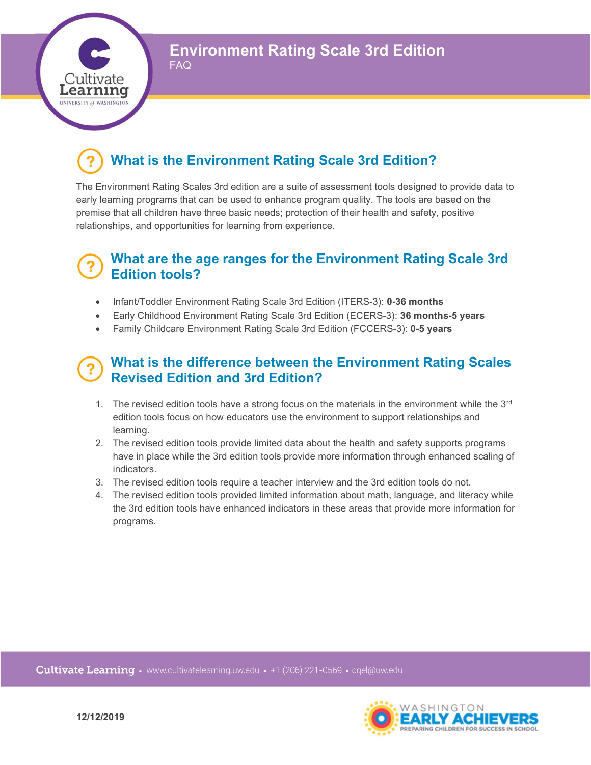Environment Rating Scale 3rd Edition

# What is the Environment Rating Scale 3rd Edition?

FAQ

;ultıvate Learnıng **UNIVERSITY of WASHING** 

> The Environment Rating Scales 3rd edition are a suite of assessment tools designed to provide data to early learning programs that can be used to enhance program quality. The tools are based on the premise that all children have three basic needs; protection of their health and safety, positive relationships, and opportunities for learning from experience.

## What are the age ranges for the Environment Rating Scale 3rd Edition tools?

- Infant/Toddler Environment Rating Scale 3rd Edition (ITERS-3): 0-36 months
- Early Childhood Environment Rating Scale 3rd Edition (ECERS-3): 36 months-5 years
- Family Childcare Environment Rating Scale 3rd Edition (FCCERS-3): 0-5 years

## What is the difference between the Environment Rating Scales Revised Edition and 3rd Edition?

- 1. The revised edition tools have a strong focus on the materials in the environment while the  $3<sup>rd</sup>$ edition tools focus on how educators use the environment to support relationships and learning.
- 2. The revised edition tools provide limited data about the health and safety supports programs have in place while the 3rd edition tools provide more information through enhanced scaling of indicators.
- 3. The revised edition tools require a teacher interview and the 3rd edition tools do not.
- 4. The revised edition tools provided limited information about math, language, and literacy while the 3rd edition tools have enhanced indicators in these areas that provide more information for programs.

Cultivate Learning • www.cultivatelearning.uw.edu • +1 (206) 221-0569 • cqel@uw.edu